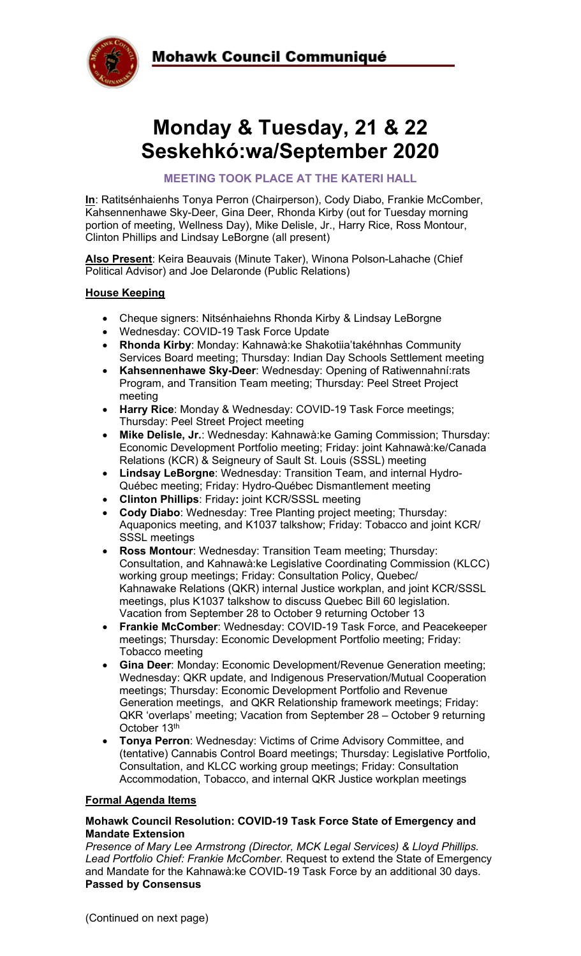



# **Monday & Tuesday, 21 & 22 Seskehkó:wa/September 2020**

**MEETING TOOK PLACE AT THE KATERI HALL**

**In**: Ratitsénhaienhs Tonya Perron (Chairperson), Cody Diabo, Frankie McComber, Kahsennenhawe Sky-Deer, Gina Deer, Rhonda Kirby (out for Tuesday morning portion of meeting, Wellness Day), Mike Delisle, Jr., Harry Rice, Ross Montour, Clinton Phillips and Lindsay LeBorgne (all present)

**Also Present**: Keira Beauvais (Minute Taker), Winona Polson-Lahache (Chief Political Advisor) and Joe Delaronde (Public Relations)

# **House Keeping**

- Cheque signers: Nitsénhaiehns Rhonda Kirby & Lindsay LeBorgne
- Wednesday: COVID-19 Task Force Update
- **Rhonda Kirby**: Monday: Kahnawà:ke Shakotiia'takéhnhas Community Services Board meeting; Thursday: Indian Day Schools Settlement meeting
- **Kahsennenhawe Sky-Deer**: Wednesday: Opening of Ratiwennahní:rats Program, and Transition Team meeting; Thursday: Peel Street Project meeting
- **Harry Rice**: Monday & Wednesday: COVID-19 Task Force meetings; Thursday: Peel Street Project meeting
- **Mike Delisle, Jr.**: Wednesday: Kahnawà:ke Gaming Commission; Thursday: Economic Development Portfolio meeting; Friday: joint Kahnawà:ke/Canada Relations (KCR) & Seigneury of Sault St. Louis (SSSL) meeting
- **Lindsay LeBorgne**: Wednesday: Transition Team, and internal Hydro-Québec meeting; Friday: Hydro-Québec Dismantlement meeting
- **Clinton Phillips**: Friday**:** joint KCR/SSSL meeting
- **Cody Diabo**: Wednesday: Tree Planting project meeting; Thursday: Aquaponics meeting, and K1037 talkshow; Friday: Tobacco and joint KCR/ SSSL meetings
- **Ross Montour:** Wednesday: Transition Team meeting; Thursday: Consultation, and Kahnawà:ke Legislative Coordinating Commission (KLCC) working group meetings; Friday: Consultation Policy, Quebec/ Kahnawake Relations (QKR) internal Justice workplan, and joint KCR/SSSL meetings, plus K1037 talkshow to discuss Quebec Bill 60 legislation. Vacation from September 28 to October 9 returning October 13
- **Frankie McComber**: Wednesday: COVID-19 Task Force, and Peacekeeper meetings; Thursday: Economic Development Portfolio meeting; Friday: Tobacco meeting
- **Gina Deer**: Monday: Economic Development/Revenue Generation meeting; Wednesday: QKR update, and Indigenous Preservation/Mutual Cooperation meetings; Thursday: Economic Development Portfolio and Revenue Generation meetings, and QKR Relationship framework meetings; Friday: QKR 'overlaps' meeting; Vacation from September 28 – October 9 returning October 13<sup>th</sup>
- **Tonya Perron**: Wednesday: Victims of Crime Advisory Committee, and (tentative) Cannabis Control Board meetings; Thursday: Legislative Portfolio, Consultation, and KLCC working group meetings; Friday: Consultation Accommodation, Tobacco, and internal QKR Justice workplan meetings

# **Formal Agenda Items**

## **Mohawk Council Resolution: COVID-19 Task Force State of Emergency and Mandate Extension**

*Presence of Mary Lee Armstrong (Director, MCK Legal Services) & Lloyd Phillips. Lead Portfolio Chief: Frankie McComber.* Request to extend the State of Emergency and Mandate for the Kahnawà:ke COVID-19 Task Force by an additional 30 days. **Passed by Consensus**